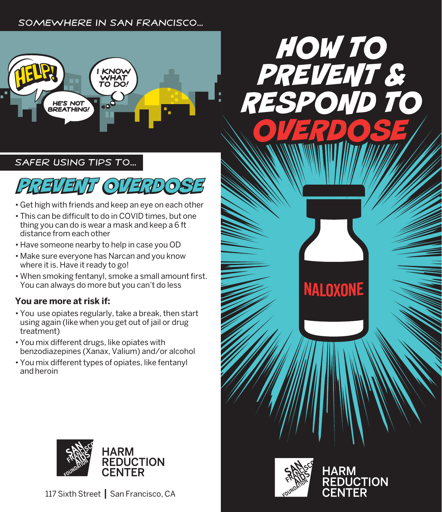#### Somewhere in San Francisco...



SAFER USING TIPS TO...



- Get high with friends and keep an eye on each other
- This can be difficult to do in COVID times, but one thing you can do is wear a mask and keep a 6 ft distance from each other
- Have someone nearby to help in case you OD
- Make sure everyone has Narcan and you know where it is. Have it ready to go!
- When smoking fentanyl, smoke a small amount first. You can always do more but you can't do less

#### **You are more at risk if:**

- You use opiates regularly, take a break, then start using again (like when you get out of jail or drug treatment)
- You mix different drugs, like opiates with benzodiazepines (Xanax, Valium) and/or alcohol
- You mix different types of opiates, like fentanyl and heroin





117 Sixth Street **|** San Francisco, CA



**HARM** 

**REDUCTION**